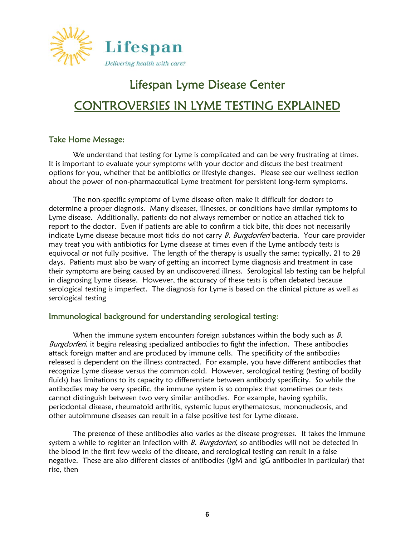

# Lifespan Lyme Disease Center CONTROVERSIES IN LYME TESTING EXPLAINED

#### Take Home Message:

We understand that testing for Lyme is complicated and can be very frustrating at times. It is important to evaluate your symptoms with your doctor and discuss the best treatment options for you, whether that be antibiotics or lifestyle changes. Please see our wellness section about the power of non-pharmaceutical Lyme treatment for persistent long-term symptoms.

 The non-specific symptoms of Lyme disease often make it difficult for doctors to determine a proper diagnosis. Many diseases, illnesses, or conditions have similar symptoms to Lyme disease. Additionally, patients do not always remember or notice an attached tick to report to the doctor. Even if patients are able to confirm a tick bite, this does not necessarily indicate Lyme disease because most ticks do not carry B. Burgdorferi bacteria. Your care provider may treat you with antibiotics for Lyme disease at times even if the Lyme antibody tests is equivocal or not fully positive. The length of the therapy is usually the same; typically, 21 to 28 days. Patients must also be wary of getting an incorrect Lyme diagnosis and treatment in case their symptoms are being caused by an undiscovered illness. Serological lab testing can be helpful in diagnosing Lyme disease. However, the accuracy of these tests is often debated because serological testing is imperfect. The diagnosis for Lyme is based on the clinical picture as well as serological testing

#### Immunological background for understanding serological testing:

When the immune system encounters foreign substances within the body such as  $B$ . Burgdorferi, it begins releasing specialized antibodies to fight the infection. These antibodies attack foreign matter and are produced by immune cells. The specificity of the antibodies released is dependent on the illness contracted. For example, you have different antibodies that recognize Lyme disease versus the common cold. However, serological testing (testing of bodily fluids) has limitations to its capacity to differentiate between antibody specificity. So while the antibodies may be very specific, the immune system is so complex that sometimes our tests cannot distinguish between two very similar antibodies. For example, having syphilis, periodontal disease, rheumatoid arthritis, systemic lupus erythematosus, mononucleosis, and other autoimmune diseases can result in a false positive test for Lyme disease.

 The presence of these antibodies also varies as the disease progresses. It takes the immune system a while to register an infection with B. Burgdorferi, so antibodies will not be detected in the blood in the first few weeks of the disease, and serological testing can result in a false negative. These are also different classes of antibodies (IgM and IgG antibodies in particular) that rise, then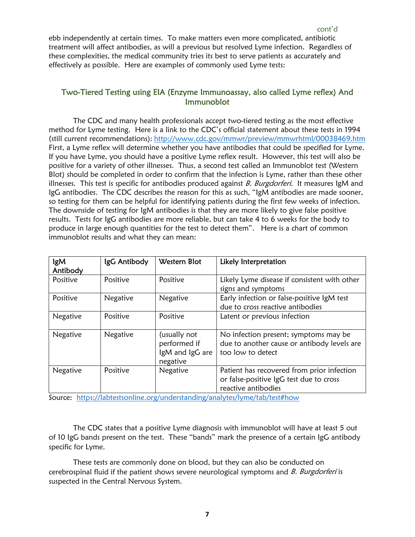ebb independently at certain times. To make matters even more complicated, antibiotic treatment will affect antibodies, as will a previous but resolved Lyme infection. Regardless of these complexities, the medical community tries its best to serve patients as accurately and effectively as possible. Here are examples of commonly used Lyme tests:

## Two-Tiered Testing using EIA (Enzyme Immunoassay, also called Lyme reflex) And Immunoblot

 The CDC and many health professionals accept two-tiered testing as the most effective method for Lyme testing. Here is a link to the CDC's official statement about these tests in 1994 (still current recommendations): http://www.cdc.gov/mmwr/preview/mmwrhtml/00038469.htm First, a Lyme reflex will determine whether you have antibodies that could be specified for Lyme. If you have Lyme, you should have a positive Lyme reflex result. However, this test will also be positive for a variety of other illnesses. Thus, a second test called an Immunoblot test (Western Blot) should be completed in order to confirm that the infection is Lyme, rather than these other illnesses. This test is specific for antibodies produced against  $B$ . Burgdorferi. It measures IgM and IgG antibodies. The CDC describes the reason for this as such, "IgM antibodies are made sooner, so testing for them can be helpful for identifying patients during the first few weeks of infection. The downside of testing for IgM antibodies is that they are more likely to give false positive results. Tests for IgG antibodies are more reliable, but can take 4 to 6 weeks for the body to produce in large enough quantities for the test to detect them". Here is a chart of common immunoblot results and what they can mean:

| lgM<br>Antibody | IgG Antibody | Western Blot                                                | Likely Interpretation                                                                                        |
|-----------------|--------------|-------------------------------------------------------------|--------------------------------------------------------------------------------------------------------------|
| Positive        | Positive     | Positive                                                    | Likely Lyme disease if consistent with other<br>signs and symptoms                                           |
| Positive        | Negative     | Negative                                                    | Early infection or false-positive IgM test<br>due to cross reactive antibodies                               |
| Negative        | Positive     | Positive                                                    | Latent or previous infection                                                                                 |
| Negative        | Negative     | (usually not<br>performed if<br>IgM and IgG are<br>negative | No infection present; symptoms may be<br>due to another cause or antibody levels are<br>too low to detect    |
| Negative        | Positive     | Negative                                                    | Patient has recovered from prior infection<br>or false-positive IgG test due to cross<br>reactive antibodies |

Source: https://labtestsonline.org/understanding/analytes/lyme/tab/test#how

 The CDC states that a positive Lyme diagnosis with immunoblot will have at least 5 out of 10 IgG bands present on the test. These "bands" mark the presence of a certain IgG antibody specific for Lyme.

 These tests are commonly done on blood, but they can also be conducted on cerebrospinal fluid if the patient shows severe neurological symptoms and *B. Burgdorferi* is suspected in the Central Nervous System.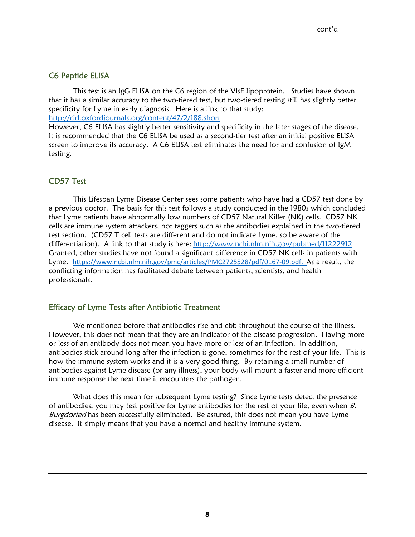# C6 Peptide ELISA

This test is an IgG ELISA on the C6 region of the VIsE lipoprotein. Studies have shown that it has a similar accuracy to the two-tiered test, but two-tiered testing still has slightly better specificity for Lyme in early diagnosis. Here is a link to that study: http://cid.oxfordjournals.org/content/47/2/188.short

However, C6 ELISA has slightly better sensitivity and specificity in the later stages of the disease. It is recommended that the C6 ELISA be used as a second-tier test after an initial positive ELISA screen to improve its accuracy. A C6 ELISA test eliminates the need for and confusion of IgM testing.

## CD57 Test

 This Lifespan Lyme Disease Center sees some patients who have had a CD57 test done by a previous doctor. The basis for this test follows a study conducted in the 1980s which concluded that Lyme patients have abnormally low numbers of CD57 Natural Killer (NK) cells. CD57 NK cells are immune system attackers, not taggers such as the antibodies explained in the two-tiered test section. (CD57 T cell tests are different and do not indicate Lyme, so be aware of the differentiation). A link to that study is here: http://www.ncbi.nlm.nih.gov/pubmed/11222912 Granted, other studies have not found a significant difference in CD57 NK cells in patients with Lyme. https://www.ncbi.nlm.nih.gov/pmc/articles/PMC2725528/pdf/0167-09.pdf. As a result, the conflicting information has facilitated debate between patients, scientists, and health professionals.

## Efficacy of Lyme Tests after Antibiotic Treatment

We mentioned before that antibodies rise and ebb throughout the course of the illness. However, this does not mean that they are an indicator of the disease progression. Having more or less of an antibody does not mean you have more or less of an infection. In addition, antibodies stick around long after the infection is gone; sometimes for the rest of your life. This is how the immune system works and it is a very good thing. By retaining a small number of antibodies against Lyme disease (or any illness), your body will mount a faster and more efficient immune response the next time it encounters the pathogen.

 What does this mean for subsequent Lyme testing? Since Lyme tests detect the presence of antibodies, you may test positive for Lyme antibodies for the rest of your life, even when  $B$ . Burgdorferi has been successfully eliminated. Be assured, this does not mean you have Lyme disease. It simply means that you have a normal and healthy immune system.